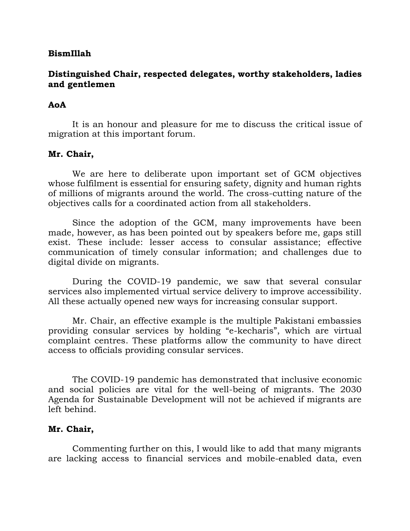### **BismIllah**

# **Distinguished Chair, respected delegates, worthy stakeholders, ladies and gentlemen**

### **AoA**

It is an honour and pleasure for me to discuss the critical issue of migration at this important forum.

## **Mr. Chair,**

We are here to deliberate upon important set of GCM objectives whose fulfilment is essential for ensuring safety, dignity and human rights of millions of migrants around the world. The cross-cutting nature of the objectives calls for a coordinated action from all stakeholders.

Since the adoption of the GCM, many improvements have been made, however, as has been pointed out by speakers before me, gaps still exist. These include: lesser access to consular assistance; effective communication of timely consular information; and challenges due to digital divide on migrants.

During the COVID-19 pandemic, we saw that several consular services also implemented virtual service delivery to improve accessibility. All these actually opened new ways for increasing consular support.

Mr. Chair, an effective example is the multiple Pakistani embassies providing consular services by holding "e-kecharis", which are virtual complaint centres. These platforms allow the community to have direct access to officials providing consular services.

The COVID-19 pandemic has demonstrated that inclusive economic and social policies are vital for the well-being of migrants. The 2030 Agenda for Sustainable Development will not be achieved if migrants are left behind.

#### **Mr. Chair,**

Commenting further on this, I would like to add that many migrants are lacking access to financial services and mobile-enabled data, even